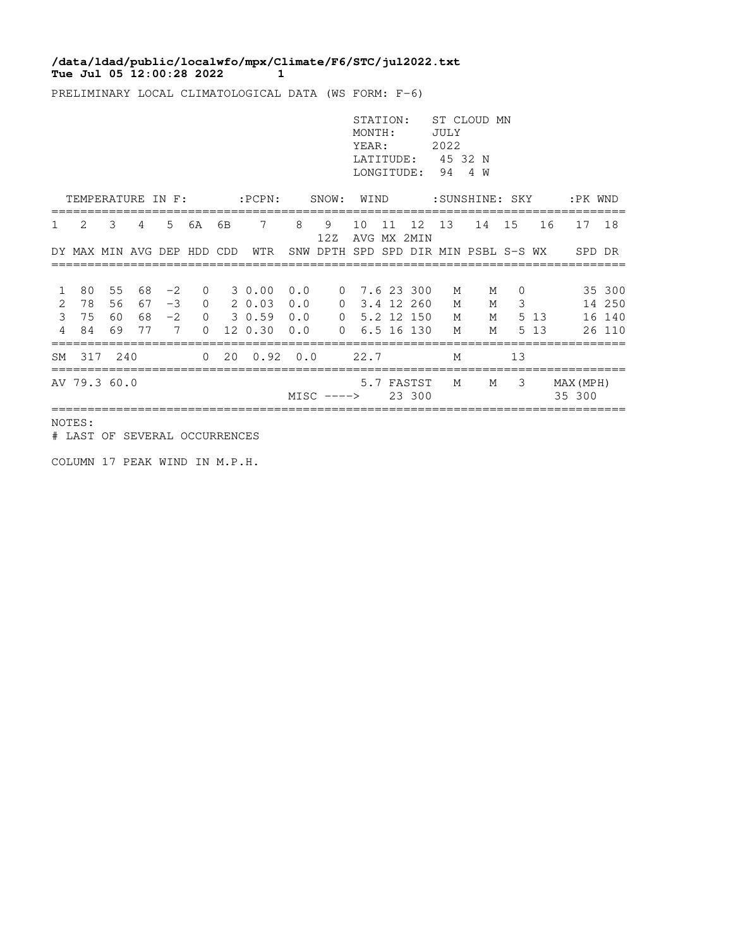## **Tue Jul 05 12:00:28 2022 1 /data/ldad/public/localwfo/mpx/Climate/F6/STC/jul2022.txt**

PRELIMINARY LOCAL CLIMATOLOGICAL DATA (WS FORM: F-6)

|                      |                            |                |    |                   |                          |                   |                                                         |     |                                      | STATION:<br>MONTH:<br>YEAR:<br>LONGITUDE: |    | LATITUDE: 45 32 N            | JULY<br>2022<br>944 W | ST CLOUD MN |               |       |                     |                            |
|----------------------|----------------------------|----------------|----|-------------------|--------------------------|-------------------|---------------------------------------------------------|-----|--------------------------------------|-------------------------------------------|----|------------------------------|-----------------------|-------------|---------------|-------|---------------------|----------------------------|
| TEMPERATURE IN F:    |                            |                |    |                   |                          | :PCPN: SNOW: WIND |                                                         |     |                                      | :SUNSHINE: SKY                            |    |                              |                       |             | :PK WND       |       |                     |                            |
| $\mathbf{1}$         | $\mathcal{L}$              | 3              | 4  | 5 <sup>5</sup>    | 6A                       | 6B                | $7\overline{ }$                                         | 8   | 9<br>12Z                             | 10                                        | 11 | 12<br>AVG MX 2MIN            | 13                    | 14 15       |               | 16    | 17                  | 18                         |
|                      | DY MAX MIN AVG DEP HDD CDD |                |    |                   |                          |                   | WTR                                                     |     | SNW DPTH SPD SPD DIR MIN PSBL S-S WX |                                           |    |                              |                       |             |               |       | SPD DR              |                            |
| 1<br>2               | 80<br>78<br>3 75           | 55<br>56<br>60 |    | 68 -2<br>$67 - 3$ | $\mathbf{0}$<br>$\Omega$ |                   | 3 0.00<br>2 0.03 0.0<br>68 -2 0 3 0.59 0.0 0 5.2 12 150 | 0.0 | $\overline{0}$                       |                                           |    | $0$ 7.6 23 300<br>3.4 12 260 | M<br>M<br>M           | M<br>М<br>М | $\Omega$<br>3 | 5 13  |                     | 35 300<br>14 250<br>16 140 |
| $\overline{4}$<br>SM | 84<br>317                  | 69<br>240      | 77 | $\overline{7}$    | $\Omega$<br>$\Omega$     |                   | 12 0.30 0.0<br>$20 \t 0.92 \t 0.0$                      |     | $\Omega$                             | 22.7                                      |    | 6.5 16 130                   | M<br>M                | M           | 13            | 5 1 3 |                     | 26 110                     |
|                      | AV 79.3 60.0               |                |    |                   |                          |                   |                                                         |     | $MISC$ $--->$                        |                                           |    | 5.7 FASTST<br>23 300         | M                     | M           | 3             |       | MAX (MPH)<br>35 300 |                            |

NOTES:

# LAST OF SEVERAL OCCURRENCES

COLUMN 17 PEAK WIND IN M.P.H.